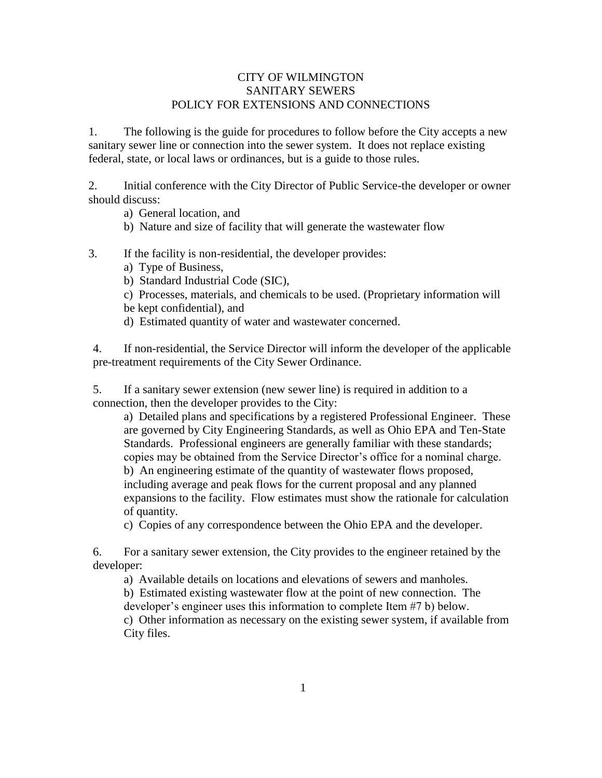## CITY OF WILMINGTON SANITARY SEWERS POLICY FOR EXTENSIONS AND CONNECTIONS

1. The following is the guide for procedures to follow before the City accepts a new sanitary sewer line or connection into the sewer system. It does not replace existing federal, state, or local laws or ordinances, but is a guide to those rules.

2. Initial conference with the City Director of Public Service-the developer or owner should discuss:

a) General location, and

- b) Nature and size of facility that will generate the wastewater flow
- 3. If the facility is non-residential, the developer provides:
	- a) Type of Business,
	- b) Standard Industrial Code (SIC),
	- c) Processes, materials, and chemicals to be used. (Proprietary information will
	- be kept confidential), and
	- d) Estimated quantity of water and wastewater concerned.

4. If non-residential, the Service Director will inform the developer of the applicable pre-treatment requirements of the City Sewer Ordinance.

5. If a sanitary sewer extension (new sewer line) is required in addition to a connection, then the developer provides to the City:

a) Detailed plans and specifications by a registered Professional Engineer. These are governed by City Engineering Standards, as well as Ohio EPA and Ten-State Standards. Professional engineers are generally familiar with these standards; copies may be obtained from the Service Director's office for a nominal charge. b) An engineering estimate of the quantity of wastewater flows proposed, including average and peak flows for the current proposal and any planned expansions to the facility. Flow estimates must show the rationale for calculation of quantity.

c) Copies of any correspondence between the Ohio EPA and the developer.

6. For a sanitary sewer extension, the City provides to the engineer retained by the developer:

a) Available details on locations and elevations of sewers and manholes.

b) Estimated existing wastewater flow at the point of new connection. The developer's engineer uses this information to complete Item #7 b) below.

c) Other information as necessary on the existing sewer system, if available from City files.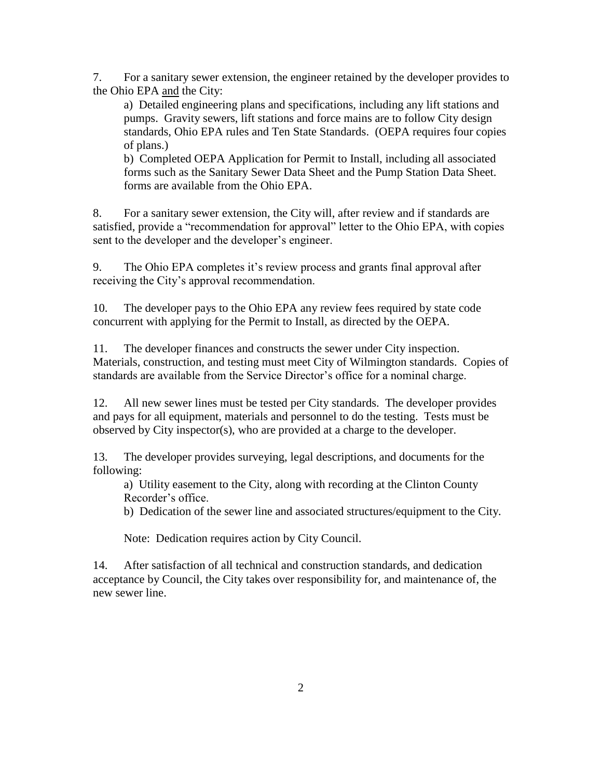7. For a sanitary sewer extension, the engineer retained by the developer provides to the Ohio EPA and the City:

a) Detailed engineering plans and specifications, including any lift stations and pumps. Gravity sewers, lift stations and force mains are to follow City design standards, Ohio EPA rules and Ten State Standards. (OEPA requires four copies of plans.)

b) Completed OEPA Application for Permit to Install, including all associated forms such as the Sanitary Sewer Data Sheet and the Pump Station Data Sheet. forms are available from the Ohio EPA.

8. For a sanitary sewer extension, the City will, after review and if standards are satisfied, provide a "recommendation for approval" letter to the Ohio EPA, with copies sent to the developer and the developer's engineer.

9. The Ohio EPA completes it's review process and grants final approval after receiving the City's approval recommendation.

10. The developer pays to the Ohio EPA any review fees required by state code concurrent with applying for the Permit to Install, as directed by the OEPA.

11. The developer finances and constructs the sewer under City inspection. Materials, construction, and testing must meet City of Wilmington standards. Copies of standards are available from the Service Director's office for a nominal charge.

12. All new sewer lines must be tested per City standards. The developer provides and pays for all equipment, materials and personnel to do the testing. Tests must be observed by City inspector(s), who are provided at a charge to the developer.

13. The developer provides surveying, legal descriptions, and documents for the following:

a) Utility easement to the City, along with recording at the Clinton County Recorder's office.

b) Dedication of the sewer line and associated structures/equipment to the City.

Note: Dedication requires action by City Council.

14. After satisfaction of all technical and construction standards, and dedication acceptance by Council, the City takes over responsibility for, and maintenance of, the new sewer line.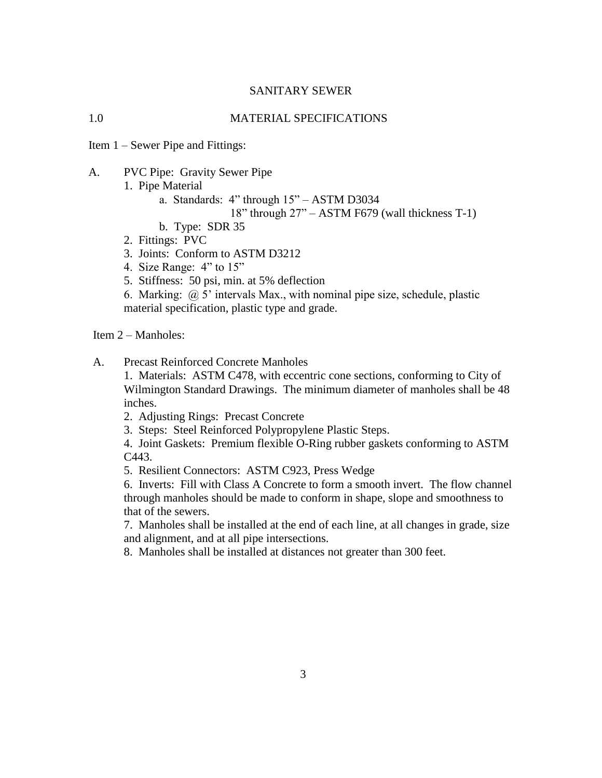### SANITARY SEWER

### 1.0 MATERIAL SPECIFICATIONS

Item 1 – Sewer Pipe and Fittings:

A. PVC Pipe: Gravity Sewer Pipe

1. Pipe Material

- a. Standards: 4" through 15" ASTM D3034
	- 18" through 27" ASTM F679 (wall thickness T-1)
- b. Type: SDR 35
- 2. Fittings: PVC
- 3. Joints: Conform to ASTM D3212
- 4. Size Range: 4" to 15"
- 5. Stiffness: 50 psi, min. at 5% deflection

6. Marking: @ 5' intervals Max., with nominal pipe size, schedule, plastic material specification, plastic type and grade.

Item 2 – Manholes:

A. Precast Reinforced Concrete Manholes

1. Materials: ASTM C478, with eccentric cone sections, conforming to City of Wilmington Standard Drawings. The minimum diameter of manholes shall be 48 inches.

- 2. Adjusting Rings: Precast Concrete
- 3. Steps: Steel Reinforced Polypropylene Plastic Steps.
- 4. Joint Gaskets: Premium flexible O-Ring rubber gaskets conforming to ASTM C443.
- 5. Resilient Connectors: ASTM C923, Press Wedge

6. Inverts: Fill with Class A Concrete to form a smooth invert. The flow channel through manholes should be made to conform in shape, slope and smoothness to that of the sewers.

7. Manholes shall be installed at the end of each line, at all changes in grade, size and alignment, and at all pipe intersections.

8. Manholes shall be installed at distances not greater than 300 feet.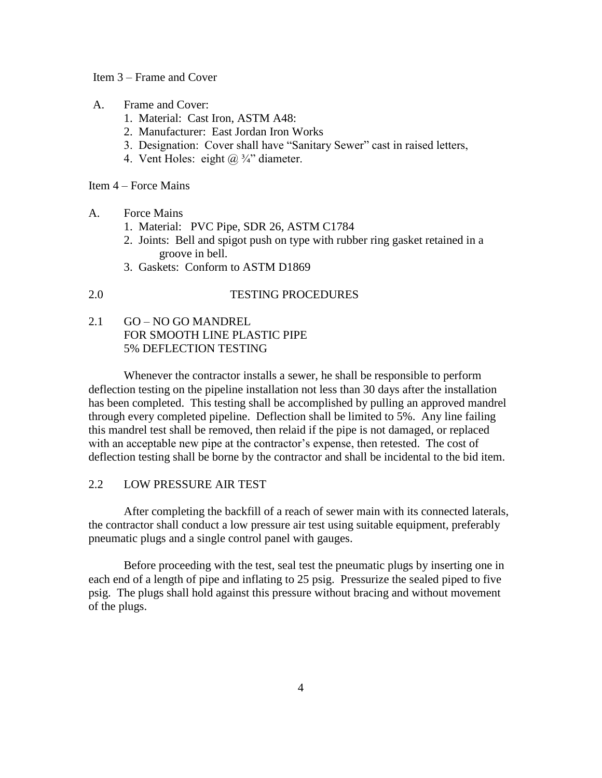#### Item 3 – Frame and Cover

- A. Frame and Cover:
	- 1. Material: Cast Iron, ASTM A48:
	- 2. Manufacturer: East Jordan Iron Works
	- 3. Designation: Cover shall have "Sanitary Sewer" cast in raised letters,
	- 4. Vent Holes: eight  $(a)$   $\frac{3}{4}$  diameter.

Item 4 – Force Mains

- A. Force Mains
	- 1. Material: PVC Pipe, SDR 26, ASTM C1784
	- 2. Joints: Bell and spigot push on type with rubber ring gasket retained in a groove in bell.
	- 3. Gaskets: Conform to ASTM D1869

### 2.0 TESTING PROCEDURES

2.1 GO – NO GO MANDREL FOR SMOOTH LINE PLASTIC PIPE 5% DEFLECTION TESTING

Whenever the contractor installs a sewer, he shall be responsible to perform deflection testing on the pipeline installation not less than 30 days after the installation has been completed. This testing shall be accomplished by pulling an approved mandrel through every completed pipeline. Deflection shall be limited to 5%. Any line failing this mandrel test shall be removed, then relaid if the pipe is not damaged, or replaced with an acceptable new pipe at the contractor's expense, then retested. The cost of deflection testing shall be borne by the contractor and shall be incidental to the bid item.

### 2.2 LOW PRESSURE AIR TEST

After completing the backfill of a reach of sewer main with its connected laterals, the contractor shall conduct a low pressure air test using suitable equipment, preferably pneumatic plugs and a single control panel with gauges.

Before proceeding with the test, seal test the pneumatic plugs by inserting one in each end of a length of pipe and inflating to 25 psig. Pressurize the sealed piped to five psig. The plugs shall hold against this pressure without bracing and without movement of the plugs.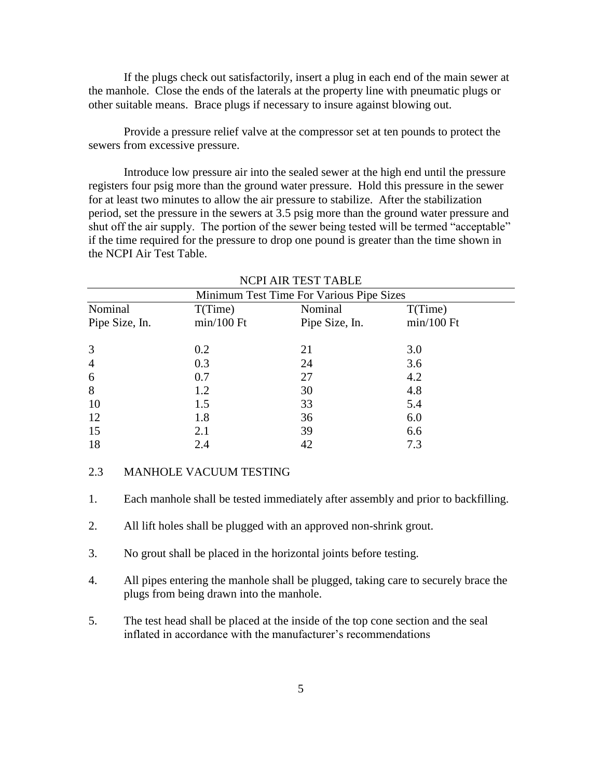If the plugs check out satisfactorily, insert a plug in each end of the main sewer at the manhole. Close the ends of the laterals at the property line with pneumatic plugs or other suitable means. Brace plugs if necessary to insure against blowing out.

Provide a pressure relief valve at the compressor set at ten pounds to protect the sewers from excessive pressure.

Introduce low pressure air into the sealed sewer at the high end until the pressure registers four psig more than the ground water pressure. Hold this pressure in the sewer for at least two minutes to allow the air pressure to stabilize. After the stabilization period, set the pressure in the sewers at 3.5 psig more than the ground water pressure and shut off the air supply. The portion of the sewer being tested will be termed "acceptable" if the time required for the pressure to drop one pound is greater than the time shown in the NCPI Air Test Table.

| Minimum Test Time For Various Pipe Sizes |              |                |              |  |
|------------------------------------------|--------------|----------------|--------------|--|
| Nominal                                  | T(Time)      | Nominal        | T(Time)      |  |
| Pipe Size, In.                           | $min/100$ Ft | Pipe Size, In. | $min/100$ Ft |  |
| 3                                        | 0.2          | 21             | 3.0          |  |
| $\overline{4}$                           | 0.3          | 24             | 3.6          |  |
| 6                                        | 0.7          | 27             | 4.2          |  |
| 8                                        | 1.2          | 30             | 4.8          |  |
| 10                                       | 1.5          | 33             | 5.4          |  |
| 12                                       | 1.8          | 36             | 6.0          |  |
| 15                                       | 2.1          | 39             | 6.6          |  |
| 18                                       | 2.4          | 42             | 7.3          |  |
|                                          |              |                |              |  |

NCPI AIR TEST TABLE

## 2.3 MANHOLE VACUUM TESTING

1. Each manhole shall be tested immediately after assembly and prior to backfilling.

- 2. All lift holes shall be plugged with an approved non-shrink grout.
- 3. No grout shall be placed in the horizontal joints before testing.
- 4. All pipes entering the manhole shall be plugged, taking care to securely brace the plugs from being drawn into the manhole.
- 5. The test head shall be placed at the inside of the top cone section and the seal inflated in accordance with the manufacturer's recommendations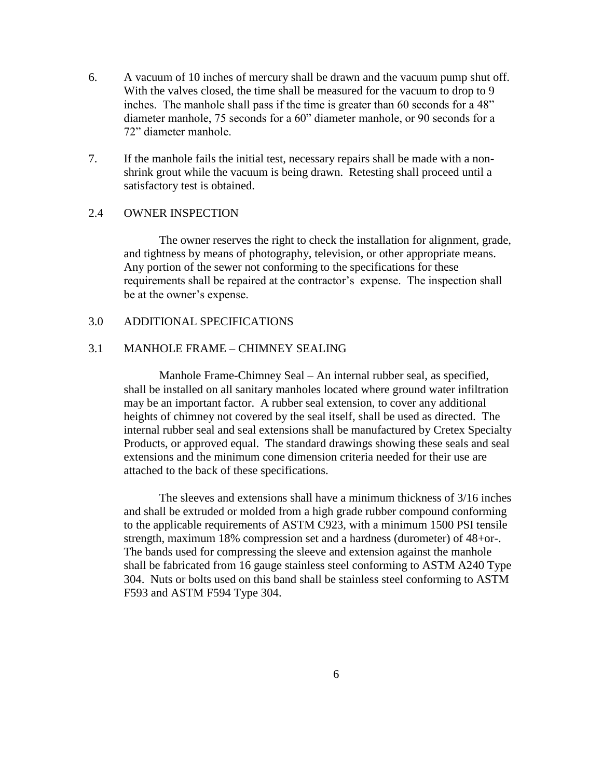- 6. A vacuum of 10 inches of mercury shall be drawn and the vacuum pump shut off. With the valves closed, the time shall be measured for the vacuum to drop to 9 inches. The manhole shall pass if the time is greater than 60 seconds for a 48" diameter manhole, 75 seconds for a 60" diameter manhole, or 90 seconds for a 72" diameter manhole.
- 7. If the manhole fails the initial test, necessary repairs shall be made with a nonshrink grout while the vacuum is being drawn. Retesting shall proceed until a satisfactory test is obtained.

### 2.4 OWNER INSPECTION

The owner reserves the right to check the installation for alignment, grade, and tightness by means of photography, television, or other appropriate means. Any portion of the sewer not conforming to the specifications for these requirements shall be repaired at the contractor's expense. The inspection shall be at the owner's expense.

### 3.0 ADDITIONAL SPECIFICATIONS

### 3.1 MANHOLE FRAME – CHIMNEY SEALING

Manhole Frame-Chimney Seal – An internal rubber seal, as specified, shall be installed on all sanitary manholes located where ground water infiltration may be an important factor. A rubber seal extension, to cover any additional heights of chimney not covered by the seal itself, shall be used as directed. The internal rubber seal and seal extensions shall be manufactured by Cretex Specialty Products, or approved equal. The standard drawings showing these seals and seal extensions and the minimum cone dimension criteria needed for their use are attached to the back of these specifications.

The sleeves and extensions shall have a minimum thickness of 3/16 inches and shall be extruded or molded from a high grade rubber compound conforming to the applicable requirements of ASTM C923, with a minimum 1500 PSI tensile strength, maximum 18% compression set and a hardness (durometer) of 48+or-. The bands used for compressing the sleeve and extension against the manhole shall be fabricated from 16 gauge stainless steel conforming to ASTM A240 Type 304. Nuts or bolts used on this band shall be stainless steel conforming to ASTM F593 and ASTM F594 Type 304.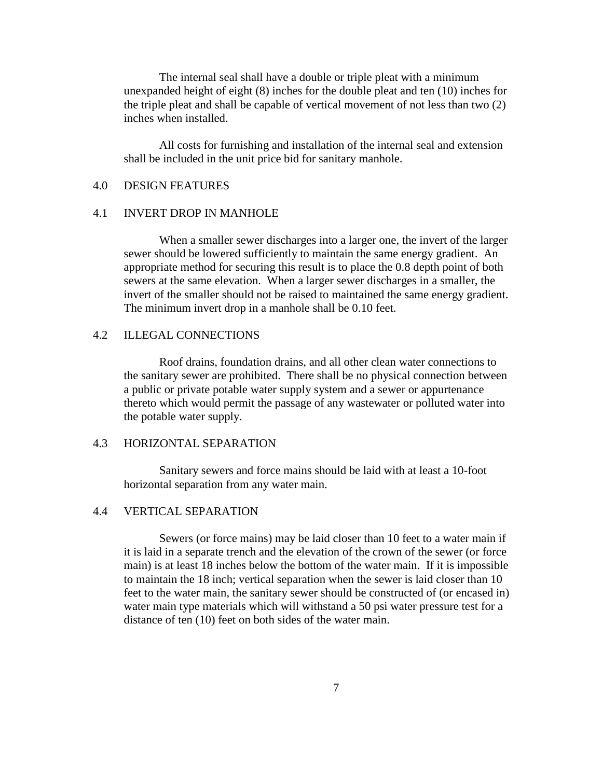The internal seal shall have a double or triple pleat with a minimum unexpanded height of eight (8) inches for the double pleat and ten (10) inches for the triple pleat and shall be capable of vertical movement of not less than two (2) inches when installed.

All costs for furnishing and installation of the internal seal and extension shall be included in the unit price bid for sanitary manhole.

# 4.0 DESIGN FEATURES

### 4.1 INVERT DROP IN MANHOLE

When a smaller sewer discharges into a larger one, the invert of the larger sewer should be lowered sufficiently to maintain the same energy gradient. An appropriate method for securing this result is to place the 0.8 depth point of both sewers at the same elevation. When a larger sewer discharges in a smaller, the invert of the smaller should not be raised to maintained the same energy gradient. The minimum invert drop in a manhole shall be 0.10 feet.

### 4.2 ILLEGAL CONNECTIONS

Roof drains, foundation drains, and all other clean water connections to the sanitary sewer are prohibited. There shall be no physical connection between a public or private potable water supply system and a sewer or appurtenance thereto which would permit the passage of any wastewater or polluted water into the potable water supply.

### 4.3 HORIZONTAL SEPARATION

Sanitary sewers and force mains should be laid with at least a 10-foot horizontal separation from any water main.

### 4.4 VERTICAL SEPARATION

Sewers (or force mains) may be laid closer than 10 feet to a water main if it is laid in a separate trench and the elevation of the crown of the sewer (or force main) is at least 18 inches below the bottom of the water main. If it is impossible to maintain the 18 inch; vertical separation when the sewer is laid closer than 10 feet to the water main, the sanitary sewer should be constructed of (or encased in) water main type materials which will withstand a 50 psi water pressure test for a distance of ten (10) feet on both sides of the water main.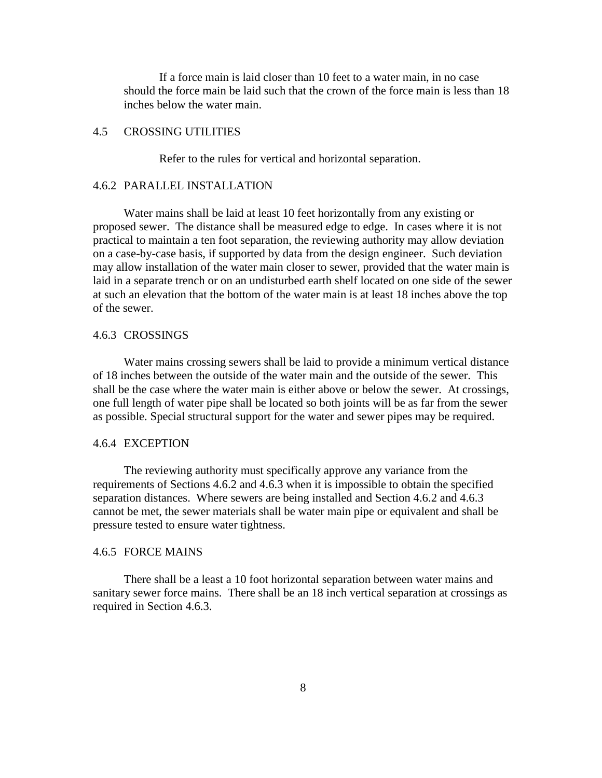If a force main is laid closer than 10 feet to a water main, in no case should the force main be laid such that the crown of the force main is less than 18 inches below the water main.

### 4.5 CROSSING UTILITIES

Refer to the rules for vertical and horizontal separation.

#### 4.6.2 PARALLEL INSTALLATION

Water mains shall be laid at least 10 feet horizontally from any existing or proposed sewer. The distance shall be measured edge to edge. In cases where it is not practical to maintain a ten foot separation, the reviewing authority may allow deviation on a case-by-case basis, if supported by data from the design engineer. Such deviation may allow installation of the water main closer to sewer, provided that the water main is laid in a separate trench or on an undisturbed earth shelf located on one side of the sewer at such an elevation that the bottom of the water main is at least 18 inches above the top of the sewer.

#### 4.6.3 CROSSINGS

Water mains crossing sewers shall be laid to provide a minimum vertical distance of 18 inches between the outside of the water main and the outside of the sewer. This shall be the case where the water main is either above or below the sewer. At crossings, one full length of water pipe shall be located so both joints will be as far from the sewer as possible. Special structural support for the water and sewer pipes may be required.

### 4.6.4 EXCEPTION

The reviewing authority must specifically approve any variance from the requirements of Sections 4.6.2 and 4.6.3 when it is impossible to obtain the specified separation distances. Where sewers are being installed and Section 4.6.2 and 4.6.3 cannot be met, the sewer materials shall be water main pipe or equivalent and shall be pressure tested to ensure water tightness.

#### 4.6.5 FORCE MAINS

There shall be a least a 10 foot horizontal separation between water mains and sanitary sewer force mains. There shall be an 18 inch vertical separation at crossings as required in Section 4.6.3.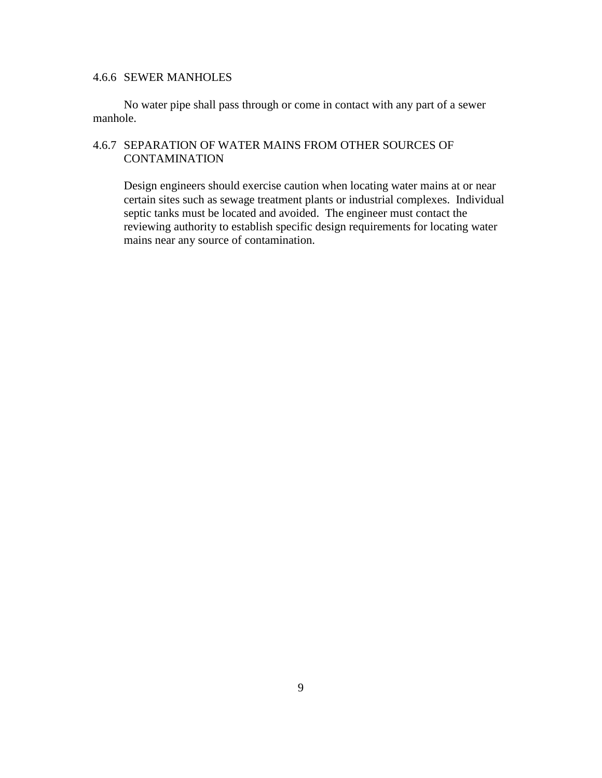# 4.6.6 SEWER MANHOLES

No water pipe shall pass through or come in contact with any part of a sewer manhole.

# 4.6.7 SEPARATION OF WATER MAINS FROM OTHER SOURCES OF **CONTAMINATION**

Design engineers should exercise caution when locating water mains at or near certain sites such as sewage treatment plants or industrial complexes. Individual septic tanks must be located and avoided. The engineer must contact the reviewing authority to establish specific design requirements for locating water mains near any source of contamination.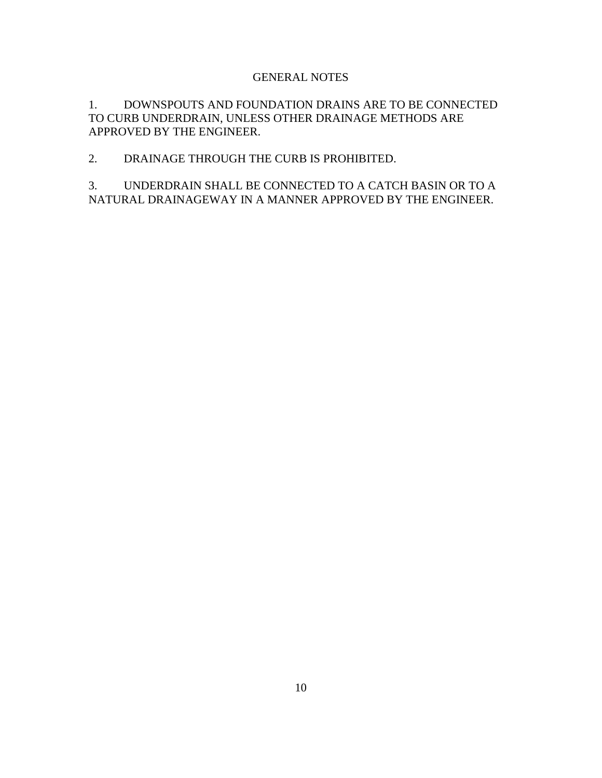## GENERAL NOTES

1. DOWNSPOUTS AND FOUNDATION DRAINS ARE TO BE CONNECTED TO CURB UNDERDRAIN, UNLESS OTHER DRAINAGE METHODS ARE APPROVED BY THE ENGINEER.

# 2. DRAINAGE THROUGH THE CURB IS PROHIBITED.

3. UNDERDRAIN SHALL BE CONNECTED TO A CATCH BASIN OR TO A NATURAL DRAINAGEWAY IN A MANNER APPROVED BY THE ENGINEER.